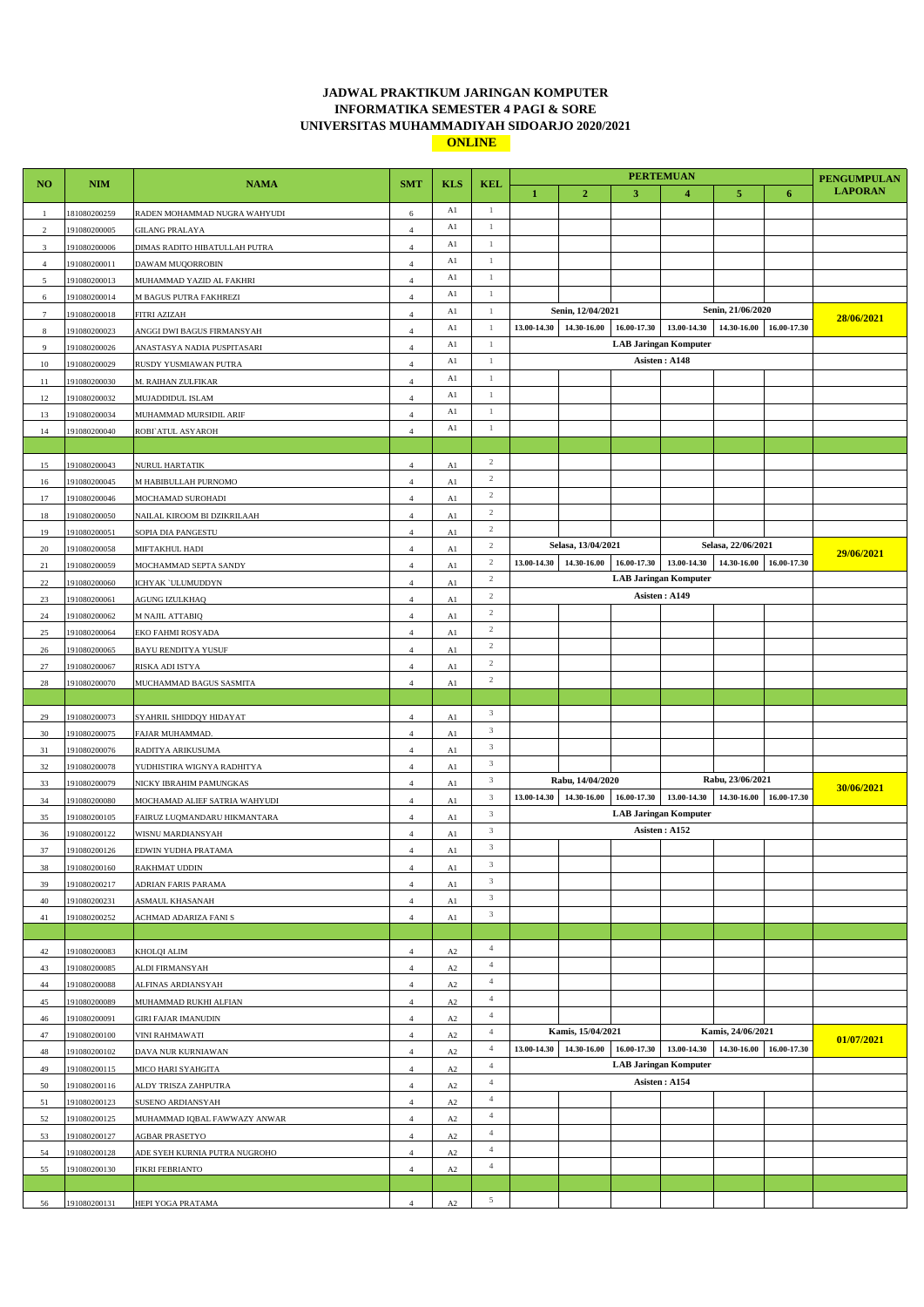## **JADWAL PRAKTIKUM JARINGAN KOMPUTER INFORMATIKA SEMESTER 4 PAGI & SORE UNIVERSITAS MUHAMMADIYAH SIDOARJO 2020/2021 ONLINE**

|                 |                              |                                                   |                              |                |                              |             |                    | <b>PERTEMUAN</b> |                              |                    | <b>PENGUMPULAN</b>      |                |
|-----------------|------------------------------|---------------------------------------------------|------------------------------|----------------|------------------------------|-------------|--------------------|------------------|------------------------------|--------------------|-------------------------|----------------|
| NO.             | <b>NIM</b>                   | <b>NAMA</b>                                       | <b>SMT</b>                   | <b>KLS</b>     | <b>KEL</b>                   | 1           | $\overline{2}$     | 3                | $\overline{4}$               | 5                  | 6                       | <b>LAPORAN</b> |
| $\mathbf{1}$    | 181080200259                 | RADEN MOHAMMAD NUGRA WAHYUDI                      | $\,$ 6 $\,$                  | Al             | $\mathbf{1}$                 |             |                    |                  |                              |                    |                         |                |
| $\overline{2}$  | 191080200005                 | <b>GILANG PRALAYA</b>                             | $\overline{4}$               | Al             | $\mathbf{1}$                 |             |                    |                  |                              |                    |                         |                |
| $\mathfrak{Z}$  | 191080200006                 | DIMAS RADITO HIBATULLAH PUTRA                     | $\overline{4}$               | A1             | $\mathbf{1}$                 |             |                    |                  |                              |                    |                         |                |
| $\overline{4}$  | 191080200011                 | DAWAM MUQORROBIN                                  | $\overline{4}$               | Al             | 1                            |             |                    |                  |                              |                    |                         |                |
| $\mathfrak{s}$  | 191080200013                 | MUHAMMAD YAZID AL FAKHRI                          | $\overline{4}$               | A1             | $\mathbf{1}$                 |             |                    |                  |                              |                    |                         |                |
| 6               | 191080200014                 | M BAGUS PUTRA FAKHREZI                            | $\overline{4}$               | Al             | $\mathbf{1}$                 |             |                    |                  |                              |                    |                         |                |
| $7\phantom{.0}$ | 191080200018                 | FITRI AZIZAH                                      | $\overline{4}$               | Al             | $\mathbf{1}$                 |             | Senin, 12/04/2021  |                  |                              | Senin, 21/06/2020  |                         | 28/06/2021     |
| 8               | 191080200023                 | ANGGI DWI BAGUS FIRMANSYAH                        | $\overline{4}$               | A1             | $\mathbf{1}$                 | 13.00-14.30 | 14.30-16.00        |                  | 16.00-17.30 13.00-14.30      | 14.30-16.00        | 16.00-17.30             |                |
| 9               | 191080200026                 | ANASTASYA NADIA PUSPITASARI                       | $\overline{4}$               | Al             | 1                            |             |                    |                  | <b>LAB Jaringan Komputer</b> |                    |                         |                |
| $10\,$          | 191080200029                 | RUSDY YUSMIAWAN PUTRA                             | $\overline{4}$               | Al             | $\mathbf{1}$                 |             |                    |                  | Asisten: A148                |                    |                         |                |
| 11              | 191080200030                 | M. RAIHAN ZULFIKAR                                | $\overline{4}$               | Al             | $\mathbf{1}$                 |             |                    |                  |                              |                    |                         |                |
| 12              | 191080200032                 | MUJADDIDUL ISLAM                                  | $\overline{4}$               | Al             | $\mathbf{1}$<br>$\mathbf{1}$ |             |                    |                  |                              |                    |                         |                |
| 13              | 191080200034                 | MUHAMMAD MURSIDIL ARIF                            | $\overline{4}$               | Al<br>Al       | 1                            |             |                    |                  |                              |                    |                         |                |
| 14              | 191080200040                 | ROBI ATUL ASYAROH                                 | $\overline{4}$               |                |                              |             |                    |                  |                              |                    |                         |                |
|                 |                              |                                                   |                              |                | $\overline{c}$               |             |                    |                  |                              |                    |                         |                |
| 15              | 191080200043                 | NURUL HARTATIK                                    | $\overline{4}$               | A1             | $\overline{2}$               |             |                    |                  |                              |                    |                         |                |
| 16              | 191080200045                 | M HABIBULLAH PURNOMO                              | $\overline{4}$               | Al             | $\overline{2}$               |             |                    |                  |                              |                    |                         |                |
| 17              | 191080200046                 | MOCHAMAD SUROHADI                                 | $\overline{4}$               | A1             | $\overline{c}$               |             |                    |                  |                              |                    |                         |                |
| 18              | 191080200050                 | NAILAL KIROOM BI DZIKRILAAH<br>SOPIA DIA PANGESTU | $\overline{4}$               | A1             | $\overline{2}$               |             |                    |                  |                              |                    |                         |                |
| 19<br>20        | 191080200051<br>191080200058 | MIFTAKHUL HADI                                    | $\sqrt{4}$<br>$\overline{4}$ | A1<br>A1       | $\overline{2}$               |             | Selasa, 13/04/2021 |                  |                              | Selasa, 22/06/2021 |                         |                |
| 21              | 191080200059                 | MOCHAMMAD SEPTA SANDY                             | $\overline{4}$               | Al             | $\overline{2}$               | 13.00-14.30 | 14.30-16.00        | 16.00-17.30      | 13.00-14.30                  | 14.30-16.00        | 16.00-17.30             | 29/06/2021     |
| $22\,$          | 191080200060                 | ICHYAK 'ULUMUDDYN                                 | $\overline{4}$               | A1             | $\overline{2}$               |             |                    |                  | <b>LAB Jaringan Komputer</b> |                    |                         |                |
| 23              | 191080200061                 | AGUNG IZULKHAQ                                    | $\overline{4}$               | A1             | $\sqrt{2}$                   |             |                    |                  | Asisten: A149                |                    |                         |                |
| $24\,$          | 191080200062                 | M NAJIL ATTABIQ                                   | $\sqrt{4}$                   | A1             | $\overline{2}$               |             |                    |                  |                              |                    |                         |                |
| 25              | 191080200064                 | EKO FAHMI ROSYADA                                 | $\overline{4}$               | A1             | $\overline{2}$               |             |                    |                  |                              |                    |                         |                |
| 26              | 191080200065                 | BAYU RENDITYA YUSUF                               | $\overline{4}$               | Al             | $\sqrt{2}$                   |             |                    |                  |                              |                    |                         |                |
| $27\,$          | 191080200067                 | RISKA ADI ISTYA                                   | $\overline{4}$               | A1             | $\sqrt{2}$                   |             |                    |                  |                              |                    |                         |                |
| 28              | 191080200070                 | MUCHAMMAD BAGUS SASMITA                           | $\overline{4}$               | A1             | $\overline{2}$               |             |                    |                  |                              |                    |                         |                |
|                 |                              |                                                   |                              |                |                              |             |                    |                  |                              |                    |                         |                |
| 29              | 191080200073                 | SYAHRIL SHIDDQY HIDAYAT                           | $\overline{4}$               | A1             | $\mathbf{3}$                 |             |                    |                  |                              |                    |                         |                |
| 30              | 191080200075                 | FAJAR MUHAMMAD.                                   | $\overline{4}$               | Al             | $\overline{3}$               |             |                    |                  |                              |                    |                         |                |
| 31              | 191080200076                 | RADITYA ARIKUSUMA                                 | $\overline{4}$               | A1             | $\mathbf{3}$                 |             |                    |                  |                              |                    |                         |                |
| 32              | 191080200078                 | YUDHISTIRA WIGNYA RADHITYA                        | $\overline{4}$               | A1             | $\mathbf{3}$                 |             |                    |                  |                              |                    |                         |                |
| 33              | 191080200079                 | NICKY IBRAHIM PAMUNGKAS                           | $\sqrt{4}$                   | A1             | $\mathfrak{Z}$               |             | Rabu, 14/04/2020   |                  |                              | Rabu, 23/06/2021   |                         |                |
| 34              | 191080200080                 | MOCHAMAD ALIEF SATRIA WAHYUDI                     | $\overline{4}$               | A1             | $\mathbf{3}$                 | 13.00-14.30 | 14.30-16.00        | 16.00-17.30      | 13.00-14.30                  | 14.30-16.00        | 16.00-17.30             | 30/06/2021     |
| 35              | 191080200105                 | FAIRUZ LUQMANDARU HIKMANTARA                      | $\overline{4}$               | Al             | $\mathbf{3}$                 |             |                    |                  | <b>LAB Jaringan Komputer</b> |                    |                         |                |
| 36              | 191080200122                 | WISNU MARDIANSYAH                                 | $\overline{4}$               | Al             | $\mathbf{3}$                 |             |                    |                  | Asisten: A152                |                    |                         |                |
| 37              | 191080200126                 | EDWIN YUDHA PRATAMA                               | $\overline{4}$               | A1             | $\sqrt{3}$                   |             |                    |                  |                              |                    |                         |                |
| 38              | 191080200160                 | RAKHMAT UDDIN                                     | $\overline{4}$               | Al             | 3                            |             |                    |                  |                              |                    |                         |                |
| 39              | 191080200217                 | ADRIAN FARIS PARAMA                               | $\overline{4}$               | A1             | $\mathfrak{Z}$               |             |                    |                  |                              |                    |                         |                |
| 40              | 191080200231                 | ASMAUL KHASANAH                                   | $\overline{4}$               | Al             | $\mathfrak{Z}$               |             |                    |                  |                              |                    |                         |                |
| 41              | 191080200252                 | ACHMAD ADARIZA FANI S                             | $\overline{4}$               | A1             | $\mathfrak{Z}$               |             |                    |                  |                              |                    |                         |                |
|                 |                              |                                                   |                              |                |                              |             |                    |                  |                              |                    |                         |                |
| 42              | 191080200083                 | KHOLQI ALIM                                       | $\sqrt{4}$                   | $\rm A2$       | $\overline{4}$               |             |                    |                  |                              |                    |                         |                |
| 43              | 191080200085                 | ALDI FIRMANSYAH                                   | $\sqrt{4}$                   | $\rm A2$       | $\overline{4}$               |             |                    |                  |                              |                    |                         |                |
| 44              | 191080200088                 | ALFINAS ARDIANSYAH                                | $\overline{4}$               | A <sub>2</sub> | $\overline{4}$               |             |                    |                  |                              |                    |                         |                |
| 45              | 191080200089                 | MUHAMMAD RUKHI ALFIAN                             | $\overline{4}$               | $\rm A2$       | $\overline{4}$               |             |                    |                  |                              |                    |                         |                |
| 46              | 191080200091                 | <b>GIRI FAJAR IMANUDIN</b>                        | $\sqrt{4}$                   | $\rm A2$       | $\overline{4}$               |             |                    |                  |                              |                    |                         |                |
| $47\,$          | 191080200100                 | VINI RAHMAWATI                                    | $\sqrt{4}$                   | A2             | $\overline{4}$               |             | Kamis, 15/04/2021  |                  |                              | Kamis, 24/06/2021  |                         | 01/07/2021     |
| 48              | 191080200102                 | DAVA NUR KURNIAWAN                                | $\overline{4}$               | $\rm A2$       | $\overline{4}$               | 13.00-14.30 | 14.30-16.00        |                  | 16.00-17.30 13.00-14.30      |                    | 14.30-16.00 16.00-17.30 |                |
| 49              | 191080200115                 | MICO HARI SYAHGITA                                | $\overline{4}$               | A <sub>2</sub> | $\overline{4}$               |             |                    |                  | <b>LAB Jaringan Komputer</b> |                    |                         |                |
| 50              | 191080200116                 | ALDY TRISZA ZAHPUTRA                              | $\overline{4}$               | $\rm A2$       | $\overline{4}$               |             |                    |                  | Asisten: A154                |                    |                         |                |
| 51              | 191080200123                 | SUSENO ARDIANSYAH                                 | $\sqrt{4}$                   | $\rm A2$       | $\overline{4}$               |             |                    |                  |                              |                    |                         |                |
| 52              | 191080200125                 | MUHAMMAD IQBAL FAWWAZY ANWAR                      | $\sqrt{4}$                   | A2             | $\overline{4}$               |             |                    |                  |                              |                    |                         |                |
| 53              | 191080200127                 | AGBAR PRASETYO                                    | $\overline{4}$               | $\rm A2$       | $\overline{4}$               |             |                    |                  |                              |                    |                         |                |
| 54              | 191080200128                 | ADE SYEH KURNIA PUTRA NUGROHO                     | $\overline{4}$               | A <sub>2</sub> | $\overline{4}$               |             |                    |                  |                              |                    |                         |                |
| 55              | 191080200130                 | <b>FIKRI FEBRIANTO</b>                            | $\overline{4}$               | A2             | $\overline{4}$               |             |                    |                  |                              |                    |                         |                |
|                 |                              |                                                   |                              |                |                              |             |                    |                  |                              |                    |                         |                |
| 56              | 191080200131                 | HEPI YOGA PRATAMA                                 | $\sqrt{4}$                   | $\rm A2$       | 5                            |             |                    |                  |                              |                    |                         |                |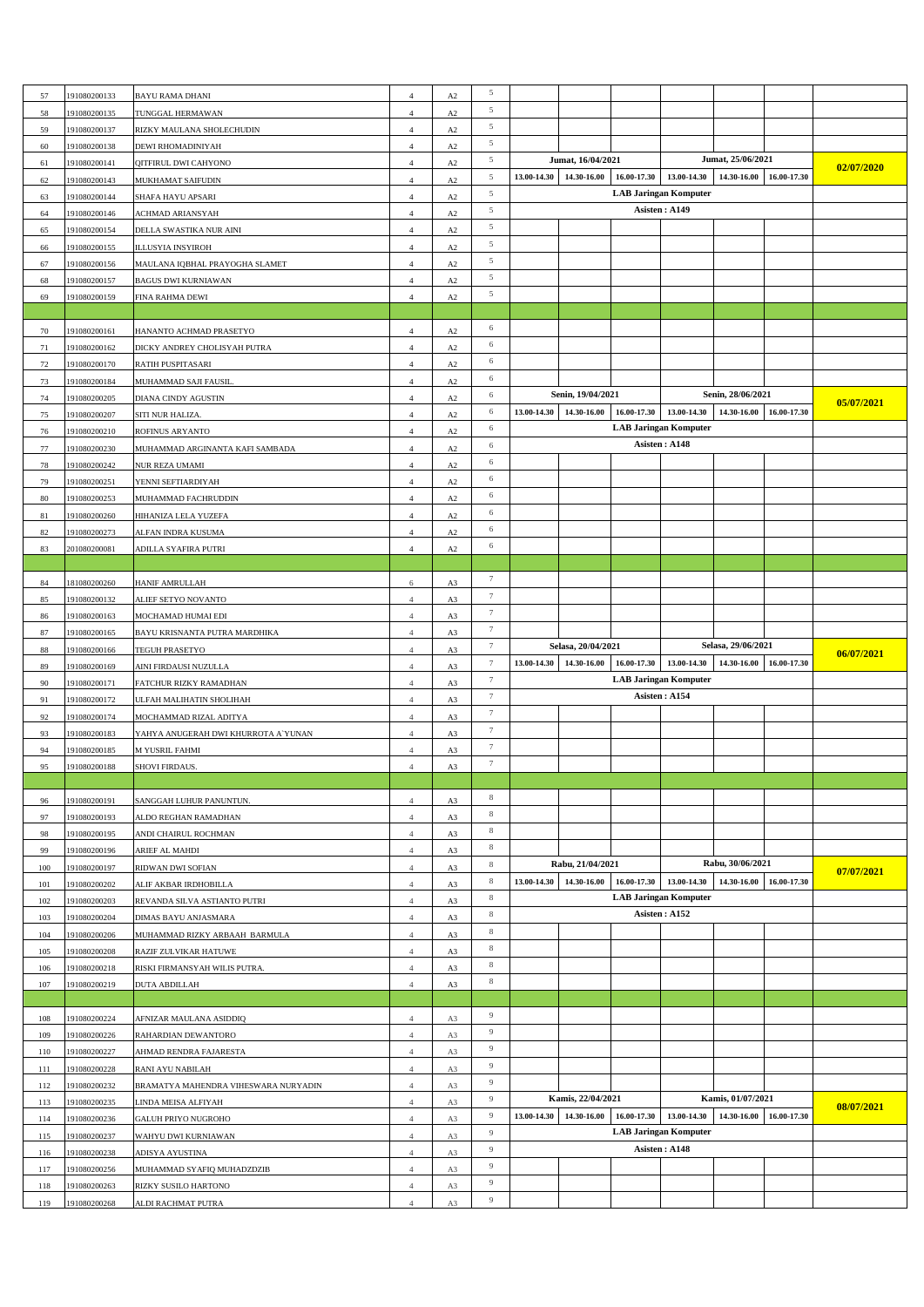|     |              |                                      |                |          | 5                |                                                                         |                    |             |                              |                    |             |            |
|-----|--------------|--------------------------------------|----------------|----------|------------------|-------------------------------------------------------------------------|--------------------|-------------|------------------------------|--------------------|-------------|------------|
| 57  | 191080200133 | <b>BAYU RAMA DHANI</b>               | $\overline{4}$ | A2       |                  |                                                                         |                    |             |                              |                    |             |            |
| 58  | 191080200135 | TUNGGAL HERMAWAN                     | $\overline{4}$ | A2       | 5                |                                                                         |                    |             |                              |                    |             |            |
| 59  | 191080200137 | RIZKY MAULANA SHOLECHUDIN            | $\overline{4}$ | $\rm A2$ | 5                |                                                                         |                    |             |                              |                    |             |            |
| 60  | 191080200138 | DEWI RHOMADINIYAH                    | 4              | A2       | 5                |                                                                         |                    |             |                              |                    |             |            |
|     |              |                                      |                |          | $\sqrt{5}$       |                                                                         | Jumat, 16/04/2021  |             |                              | Jumat, 25/06/2021  |             |            |
| 61  | 191080200141 | QITFIRUL DWI CAHYONO                 | $\overline{4}$ | A2       |                  |                                                                         |                    |             |                              |                    | 02/07/2020  |            |
| 62  | 191080200143 | MUKHAMAT SAIFUDIN                    | $\overline{4}$ | A2       | 5                | 14.30-16.00<br>13.00-14.30<br>16.00-17.30<br>13.00-14.30<br>14.30-16.00 |                    |             |                              | 16.00-17.30        |             |            |
| 63  | 191080200144 | SHAFA HAYU APSARI                    | $\overline{4}$ | A2       | $\overline{5}$   |                                                                         |                    |             | <b>LAB Jaringan Komputer</b> |                    |             |            |
| 64  | 191080200146 | ACHMAD ARIANSYAH                     | $\overline{4}$ | A2       | 5                |                                                                         |                    |             | Asisten: A149                |                    |             |            |
|     |              |                                      |                |          | 5                |                                                                         |                    |             |                              |                    |             |            |
| 65  | 191080200154 | DELLA SWASTIKA NUR AINI              | $\overline{4}$ | A2       |                  |                                                                         |                    |             |                              |                    |             |            |
| 66  | 191080200155 | <b>ILLUSYIA INSYIROH</b>             | $\overline{4}$ | A2       | $\sqrt{5}$       |                                                                         |                    |             |                              |                    |             |            |
| 67  | 191080200156 | MAULANA IQBHAL PRAYOGHA SLAMET       | $\overline{4}$ | A2       | 5                |                                                                         |                    |             |                              |                    |             |            |
| 68  | 191080200157 | <b>BAGUS DWI KURNIAWAN</b>           | $\overline{4}$ | A2       | 5                |                                                                         |                    |             |                              |                    |             |            |
|     |              |                                      |                |          | 5                |                                                                         |                    |             |                              |                    |             |            |
| 69  | 191080200159 | FINA RAHMA DEWI                      | $\overline{4}$ | A2       |                  |                                                                         |                    |             |                              |                    |             |            |
|     |              |                                      |                |          |                  |                                                                         |                    |             |                              |                    |             |            |
| 70  | 191080200161 | HANANTO ACHMAD PRASETYO              | $\overline{4}$ | $\rm A2$ | 6                |                                                                         |                    |             |                              |                    |             |            |
| 71  | 191080200162 | DICKY ANDREY CHOLISYAH PUTRA         | $\overline{4}$ | A2       | 6                |                                                                         |                    |             |                              |                    |             |            |
|     |              |                                      |                |          | 6                |                                                                         |                    |             |                              |                    |             |            |
| 72  | 191080200170 | RATIH PUSPITASARI                    | $\overline{4}$ | $\rm A2$ |                  |                                                                         |                    |             |                              |                    |             |            |
| 73  | 191080200184 | MUHAMMAD SAJI FAUSIL                 | $\overline{4}$ | A2       | 6                |                                                                         |                    |             |                              |                    |             |            |
| 74  | 191080200205 | DIANA CINDY AGUSTIN                  | $\overline{4}$ | A2       | 6                |                                                                         | Senin, 19/04/2021  |             |                              | Senin, 28/06/2021  |             | 05/07/2021 |
| 75  | 191080200207 | SITI NUR HALIZA.                     | $\overline{4}$ | $\rm A2$ | 6                | 13.00-14.30                                                             | 14.30-16.00        | 16.00-17.30 | 13.00-14.30                  | 14.30-16.00        | 16.00-17.30 |            |
|     |              |                                      |                |          | 6                |                                                                         |                    |             | <b>LAB Jaringan Komputer</b> |                    |             |            |
| 76  | 191080200210 | ROFINUS ARYANTO                      | $\overline{4}$ | $\rm A2$ |                  |                                                                         |                    |             |                              |                    |             |            |
| 77  | 191080200230 | MUHAMMAD ARGINANTA KAFI SAMBADA      | $\overline{4}$ | $\rm A2$ | 6                |                                                                         |                    |             | Asisten: A148                |                    |             |            |
| 78  | 191080200242 | NUR REZA UMAMI                       | $\overline{4}$ | A2       | 6                |                                                                         |                    |             |                              |                    |             |            |
| 79  | 191080200251 | YENNI SEFTIARDIYAH                   | $\overline{4}$ | A2       | 6                |                                                                         |                    |             |                              |                    |             |            |
|     |              |                                      |                |          | 6                |                                                                         |                    |             |                              |                    |             |            |
| 80  | 191080200253 | MUHAMMAD FACHRUDDIN                  | $\overline{4}$ | A2       |                  |                                                                         |                    |             |                              |                    |             |            |
| 81  | 191080200260 | HIHANIZA LELA YUZEFA                 | $\overline{4}$ | A2       | 6                |                                                                         |                    |             |                              |                    |             |            |
| 82  | 191080200273 | ALFAN INDRA KUSUMA                   | $\overline{4}$ | A2       | 6                |                                                                         |                    |             |                              |                    |             |            |
| 83  | 201080200081 | ADILLA SYAFIRA PUTRI                 | $\overline{4}$ | A2       | 6                |                                                                         |                    |             |                              |                    |             |            |
|     |              |                                      |                |          |                  |                                                                         |                    |             |                              |                    |             |            |
|     |              |                                      |                |          |                  |                                                                         |                    |             |                              |                    |             |            |
| 84  | 181080200260 | HANIF AMRULLAH                       | 6              | A3       | $7\phantom{.0}$  |                                                                         |                    |             |                              |                    |             |            |
| 85  | 191080200132 | ALIEF SETYO NOVANTO                  | $\overline{4}$ | A3       | $7\phantom{.0}$  |                                                                         |                    |             |                              |                    |             |            |
| 86  | 191080200163 | MOCHAMAD HUMAI EDI                   | $\overline{4}$ | A3       | $\tau$           |                                                                         |                    |             |                              |                    |             |            |
|     |              |                                      |                |          | $\tau$           |                                                                         |                    |             |                              |                    |             |            |
| 87  | 191080200165 | BAYU KRISNANTA PUTRA MARDHIKA        | $\overline{4}$ | A3       |                  |                                                                         |                    |             |                              |                    |             |            |
|     |              |                                      |                |          |                  |                                                                         |                    |             |                              |                    |             |            |
| 88  | 191080200166 | TEGUH PRASETYO                       | $\overline{4}$ | A3       | $7\phantom{.0}$  |                                                                         | Selasa, 20/04/2021 |             |                              | Selasa, 29/06/2021 |             |            |
| 89  | 191080200169 | AINI FIRDAUSI NUZULLA                | $\overline{4}$ | A3       | $7\phantom{.0}$  | 13.00-14.30                                                             | 14.30-16.00        | 16.00-17.30 | 13.00-14.30                  | 14.30-16.00        | 16.00-17.30 | 06/07/2021 |
|     |              |                                      |                |          | $\tau$           |                                                                         |                    |             | <b>LAB Jaringan Komputer</b> |                    |             |            |
| 90  | 191080200171 | FATCHUR RIZKY RAMADHAN               | $\overline{4}$ | A3       |                  |                                                                         |                    |             |                              |                    |             |            |
| 91  | 191080200172 | ULFAH MALIHATIN SHOLIHAH             | $\overline{4}$ | A3       | $7\phantom{.0}$  |                                                                         |                    |             | Asisten: A154                |                    |             |            |
| 92  | 191080200174 | MOCHAMMAD RIZAL ADITYA               | $\overline{4}$ | A3       | $7\phantom{.0}$  |                                                                         |                    |             |                              |                    |             |            |
| 93  | 191080200183 | YAHYA ANUGERAH DWI KHURROTA A`YUNAN  | $\overline{4}$ | A3       | $7\phantom{.0}$  |                                                                         |                    |             |                              |                    |             |            |
|     |              |                                      |                |          | $\boldsymbol{7}$ |                                                                         |                    |             |                              |                    |             |            |
| 94  | 191080200185 | M YUSRIL FAHMI                       | $\overline{4}$ | A3       |                  |                                                                         |                    |             |                              |                    |             |            |
| 95  | 191080200188 | SHOVI FIRDAUS.                       | $\overline{4}$ | A3       | $\overline{7}$   |                                                                         |                    |             |                              |                    |             |            |
|     |              |                                      |                |          |                  |                                                                         |                    |             |                              |                    |             |            |
| 96  | 191080200191 | SANGGAH LUHUR PANUNTUN.              | $\overline{4}$ | A3       | $\,$ 8 $\,$      |                                                                         |                    |             |                              |                    |             |            |
|     |              |                                      |                |          | $\,$ 8 $\,$      |                                                                         |                    |             |                              |                    |             |            |
| 97  | 191080200193 | ALDO REGHAN RAMADHAN                 | $\overline{4}$ | A3       |                  |                                                                         |                    |             |                              |                    |             |            |
| 98  | 191080200195 | ANDI CHAIRUL ROCHMAN                 | $\overline{4}$ | A3       | $\,$ 8 $\,$      |                                                                         |                    |             |                              |                    |             |            |
| 99  | 191080200196 | ARIEF AL MAHDI                       | $\overline{4}$ | A3       | 8                |                                                                         |                    |             |                              |                    |             |            |
| 100 | 191080200197 | RIDWAN DWI SOFIAN                    | $\overline{4}$ | A3       | 8                |                                                                         | Rabu, 21/04/2021   |             |                              | Rabu, 30/06/2021   |             |            |
|     |              |                                      |                |          | $\,$ 8 $\,$      | 13.00-14.30                                                             | 14.30-16.00        | 16.00-17.30 | 13.00-14.30                  | 14.30-16.00        | 16.00-17.30 | 07/07/2021 |
| 101 | 191080200202 | ALIF AKBAR IRDHOBILLA                | $\overline{4}$ | A3       |                  |                                                                         |                    |             |                              |                    |             |            |
| 102 | 191080200203 | REVANDA SILVA ASTIANTO PUTRI         | $\overline{4}$ | A3       | $\,$ 8 $\,$      |                                                                         |                    |             | <b>LAB Jaringan Komputer</b> |                    |             |            |
| 103 | 191080200204 | DIMAS BAYU ANJASMARA                 | $\overline{4}$ | A3       | $\,$ 8 $\,$      |                                                                         |                    |             | Asisten: A152                |                    |             |            |
| 104 | 191080200206 | MUHAMMAD RIZKY ARBAAH BARMULA        | $\overline{4}$ | A3       | $\,$ 8 $\,$      |                                                                         |                    |             |                              |                    |             |            |
|     |              |                                      |                |          | 8                |                                                                         |                    |             |                              |                    |             |            |
| 105 | 191080200208 | RAZIF ZULVIKAR HATUWE                | $\overline{4}$ | A3       |                  |                                                                         |                    |             |                              |                    |             |            |
| 106 | 191080200218 | RISKI FIRMANSYAH WILIS PUTRA.        | $\overline{4}$ | A3       | 8                |                                                                         |                    |             |                              |                    |             |            |
| 107 | 191080200219 | DUTA ABDILLAH                        | $\overline{4}$ | A3       | $\,$ 8 $\,$      |                                                                         |                    |             |                              |                    |             |            |
|     |              |                                      |                |          |                  |                                                                         |                    |             |                              |                    |             |            |
|     |              |                                      |                |          | 9                |                                                                         |                    |             |                              |                    |             |            |
| 108 | 191080200224 | AFNIZAR MAULANA ASIDDIQ              | $\sqrt{4}$     | A3       |                  |                                                                         |                    |             |                              |                    |             |            |
| 109 | 191080200226 | RAHARDIAN DEWANTORO                  | $\overline{4}$ | A3       | 9                |                                                                         |                    |             |                              |                    |             |            |
| 110 | 191080200227 | AHMAD RENDRA FAJARESTA               | $\overline{4}$ | A3       | 9                |                                                                         |                    |             |                              |                    |             |            |
| 111 | 191080200228 | RANI AYU NABILAH                     | $\overline{4}$ | A3       | $\overline{9}$   |                                                                         |                    |             |                              |                    |             |            |
|     |              |                                      |                |          | 9                |                                                                         |                    |             |                              |                    |             |            |
| 112 | 191080200232 | BRAMATYA MAHENDRA VIHESWARA NURYADIN | $\overline{4}$ | A3       |                  |                                                                         |                    |             |                              |                    |             |            |
| 113 | 191080200235 | LINDA MEISA ALFIYAH                  | $\overline{4}$ | A3       | 9                |                                                                         | Kamis, 22/04/2021  |             |                              | Kamis, 01/07/2021  |             | 08/07/2021 |
| 114 | 191080200236 | GALUH PRIYO NUGROHO                  | $\overline{4}$ | A3       | 9                | 13.00-14.30                                                             | 14.30-16.00        | 16.00-17.30 | 13.00-14.30                  | 14.30-16.00        | 16.00-17.30 |            |
| 115 | 191080200237 | WAHYU DWI KURNIAWAN                  | $\overline{4}$ | A3       | 9                |                                                                         |                    |             | <b>LAB Jaringan Komputer</b> |                    |             |            |
|     |              |                                      |                |          | $\overline{9}$   |                                                                         |                    |             | Asisten: A148                |                    |             |            |
| 116 | 191080200238 | ADISYA AYUSTINA                      | $\overline{4}$ | A3       |                  |                                                                         |                    |             |                              |                    |             |            |
| 117 | 191080200256 | MUHAMMAD SYAFIQ MUHADZDZIB           | $\overline{4}$ | A3       | 9                |                                                                         |                    |             |                              |                    |             |            |
| 118 | 191080200263 | RIZKY SUSILO HARTONO                 | $\overline{4}$ | A3       | 9                |                                                                         |                    |             |                              |                    |             |            |
| 119 | 191080200268 | ALDI RACHMAT PUTRA                   | $\overline{4}$ | A3       | 9                |                                                                         |                    |             |                              |                    |             |            |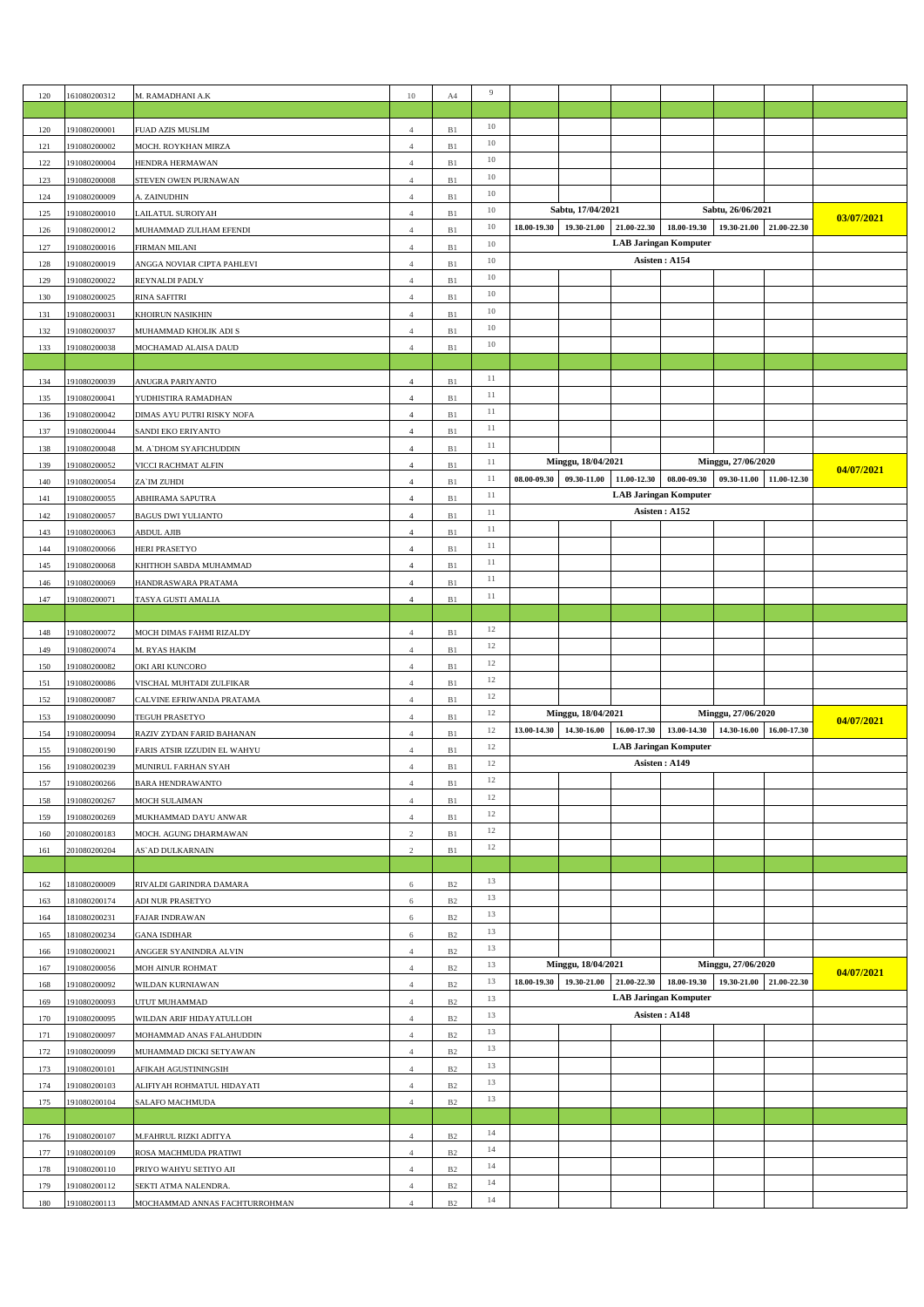| 120 | 161080200312                 | M. RAMADHANI A.K                                      | $10\,$         | A4          | 9      |                                                             |                    |             |                              |                         |             |            |
|-----|------------------------------|-------------------------------------------------------|----------------|-------------|--------|-------------------------------------------------------------|--------------------|-------------|------------------------------|-------------------------|-------------|------------|
|     |                              |                                                       |                |             |        |                                                             |                    |             |                              |                         |             |            |
| 120 | 191080200001                 |                                                       | $\overline{4}$ | B1          | 10     |                                                             |                    |             |                              |                         |             |            |
|     |                              | FUAD AZIS MUSLIM                                      |                |             | 10     |                                                             |                    |             |                              |                         |             |            |
| 121 | 191080200002                 | MOCH. ROYKHAN MIRZA                                   | $\overline{4}$ | $\rm B1$    | 10     |                                                             |                    |             |                              |                         |             |            |
| 122 | 191080200004                 | HENDRA HERMAWAN                                       | $\overline{4}$ | $\rm B1$    | 10     |                                                             |                    |             |                              |                         |             |            |
| 123 | 191080200008                 | STEVEN OWEN PURNAWAN                                  | $\overline{4}$ | B1          | 10     |                                                             |                    |             |                              |                         |             |            |
| 124 | 191080200009                 | A. ZAINUDHIN                                          | $\overline{4}$ | B1          | 10     |                                                             |                    |             |                              | Sabtu, 26/06/2021       |             |            |
| 125 | 191080200010                 | LAILATUL SUROIYAH                                     | $\overline{4}$ | B1          |        | Sabtu, 17/04/2021<br>21.00-22.30<br>18.00-19.30 19.30-21.00 |                    |             |                              |                         | 03/07/2021  |            |
| 126 | 191080200012                 | MUHAMMAD ZULHAM EFENDI                                | $\overline{4}$ | $\rm B1$    | 10     |                                                             |                    |             | 18.00-19.30                  | 19.30-21.00 21.00-22.30 |             |            |
| 127 | 191080200016                 | FIRMAN MILANI                                         | $\overline{4}$ | $\rm B1$    | 10     |                                                             |                    |             | <b>LAB Jaringan Komputer</b> |                         |             |            |
| 128 | 191080200019                 | ANGGA NOVIAR CIPTA PAHLEVI                            | $\overline{4}$ | B1          | 10     |                                                             |                    |             | Asisten: A154                |                         |             |            |
| 129 | 191080200022                 | REYNALDI PADLY                                        | $\overline{4}$ | B1          | $10\,$ |                                                             |                    |             |                              |                         |             |            |
| 130 | 191080200025                 | RINA SAFITRI                                          | $\overline{4}$ | B1          | 10     |                                                             |                    |             |                              |                         |             |            |
| 131 | 191080200031                 | KHOIRUN NASIKHIN                                      | $\overline{4}$ | $\rm B1$    | 10     |                                                             |                    |             |                              |                         |             |            |
| 132 | 191080200037                 | MUHAMMAD KHOLIK ADI S                                 | $\overline{4}$ | $\rm B1$    | 10     |                                                             |                    |             |                              |                         |             |            |
| 133 | 191080200038                 | MOCHAMAD ALAISA DAUD                                  | $\overline{4}$ | B1          | 10     |                                                             |                    |             |                              |                         |             |            |
|     |                              |                                                       |                |             |        |                                                             |                    |             |                              |                         |             |            |
| 134 | 191080200039                 | ANUGRA PARIYANTO                                      | $\overline{4}$ | B1          | 11     |                                                             |                    |             |                              |                         |             |            |
| 135 | 191080200041                 | YUDHISTIRA RAMADHAN                                   | $\overline{4}$ | $\rm B1$    | 11     |                                                             |                    |             |                              |                         |             |            |
| 136 | 191080200042                 | DIMAS AYU PUTRI RISKY NOFA                            | $\overline{4}$ | $\rm B1$    | 11     |                                                             |                    |             |                              |                         |             |            |
| 137 | 191080200044                 | SANDI EKO ERIYANTO                                    | $\overline{4}$ | B1          | 11     |                                                             |                    |             |                              |                         |             |            |
| 138 | 191080200048                 | M. A' DHOM SY AFICHUDDIN                              | $\overline{4}$ | B1          | $11\,$ |                                                             |                    |             |                              |                         |             |            |
| 139 | 191080200052                 | VICCI RACHMAT ALFIN                                   | $\overline{4}$ | $\rm B1$    | 11     |                                                             | Minggu, 18/04/2021 |             |                              | Minggu, 27/06/2020      |             |            |
| 140 | 191080200054                 | ZA`IM ZUHDI                                           | $\overline{4}$ | $\rm B1$    | 11     | 08.00-09.30                                                 | 09.30-11.00        | 11.00-12.30 | 08.00-09.30                  | 09.30-11.00             | 11.00-12.30 | 04/07/2021 |
| 141 | 191080200055                 | ABHIRAMA SAPUTRA                                      | $\overline{4}$ | B1          | 11     |                                                             |                    |             | <b>LAB Jaringan Komputer</b> |                         |             |            |
| 142 | 191080200057                 | <b>BAGUS DWI YULIANTO</b>                             | $\overline{4}$ | B1          | 11     |                                                             |                    |             | Asisten: A152                |                         |             |            |
|     |                              |                                                       |                | B1          | $11\,$ |                                                             |                    |             |                              |                         |             |            |
| 143 | 191080200063                 | <b>ABDUL AJIB</b>                                     | $\overline{4}$ |             | 11     |                                                             |                    |             |                              |                         |             |            |
| 144 | 191080200066                 | HERI PRASETYO                                         | $\overline{4}$ | B1          | 11     |                                                             |                    |             |                              |                         |             |            |
| 145 | 191080200068                 | KHITHOH SABDA MUHAMMAD                                | $\overline{4}$ | $\rm B1$    | 11     |                                                             |                    |             |                              |                         |             |            |
| 146 | 191080200069                 | HANDRASWARA PRATAMA                                   | $\overline{4}$ | B1          | 11     |                                                             |                    |             |                              |                         |             |            |
| 147 | 191080200071                 | TASYA GUSTI AMALIA                                    | $\overline{4}$ | B1          |        |                                                             |                    |             |                              |                         |             |            |
|     |                              |                                                       |                |             |        |                                                             |                    |             |                              |                         |             |            |
| 148 | 191080200072                 | MOCH DIMAS FAHMI RIZALDY                              | $\overline{4}$ | $\rm B1$    | 12     |                                                             |                    |             |                              |                         |             |            |
|     |                              |                                                       |                |             |        |                                                             |                    |             |                              |                         |             |            |
| 149 | 191080200074                 | M. RYAS HAKIM                                         | $\overline{4}$ | $\rm B1$    | 12     |                                                             |                    |             |                              |                         |             |            |
| 150 | 191080200082                 | OKI ARI KUNCORO                                       | $\overline{4}$ | B1          | 12     |                                                             |                    |             |                              |                         |             |            |
| 151 | 191080200086                 | VISCHAL MUHTADI ZULFIKAR                              | $\overline{4}$ | $\rm B1$    | 12     |                                                             |                    |             |                              |                         |             |            |
| 152 | 191080200087                 | CALVINE EFRIWANDA PRATAMA                             | $\overline{4}$ | B1          | 12     |                                                             |                    |             |                              |                         |             |            |
| 153 | 191080200090                 | TEGUH PRASETYO                                        | $\overline{4}$ | B1          | 12     |                                                             | Minggu, 18/04/2021 |             |                              | Minggu, 27/06/2020      |             |            |
| 154 | 191080200094                 | RAZIV ZYDAN FARID BAHANAN                             | $\overline{4}$ | $\rm B1$    | 12     | 13.00-14.30                                                 | 14.30-16.00        | 16.00-17.30 | 13.00-14.30                  | 14.30-16.00             | 16.00-17.30 | 04/07/2021 |
| 155 | 191080200190                 | FARIS ATSIR IZZUDIN EL WAHYU                          | $\overline{4}$ | $\rm B1$    | 12     |                                                             |                    |             | <b>LAB Jaringan Komputer</b> |                         |             |            |
| 156 | 191080200239                 | MUNIR <u>UL FARHAN SYAH</u>                           | $\overline{4}$ | B1          | 12     |                                                             |                    |             | Asisten: A149                |                         |             |            |
| 157 | 191080200266                 | <b>BARA HENDRAWANTO</b>                               | $\overline{4}$ | B1          | 12     |                                                             |                    |             |                              |                         |             |            |
| 158 | 191080200267                 |                                                       | $\overline{4}$ | B1          | 12     |                                                             |                    |             |                              |                         |             |            |
|     |                              | MOCH SULAIMAN                                         | $\overline{4}$ |             | 12     |                                                             |                    |             |                              |                         |             |            |
| 159 | 191080200269                 | MUKHAMMAD DAYU ANWAR                                  |                | $\rm B1$    | 12     |                                                             |                    |             |                              |                         |             |            |
| 160 | 201080200183                 | MOCH. AGUNG DHARMAWAN                                 | $\mathfrak{2}$ | B1          | 12     |                                                             |                    |             |                              |                         |             |            |
| 161 | 201080200204                 | AS`AD DULKARNAIN                                      | $\overline{c}$ | $\rm B1$    |        |                                                             |                    |             |                              |                         |             |            |
|     |                              |                                                       |                |             | 13     |                                                             |                    |             |                              |                         |             |            |
| 162 | 181080200009                 | RIVALDI GARINDRA DAMARA                               | 6              | $_{\rm B2}$ | 13     |                                                             |                    |             |                              |                         |             |            |
| 163 | 181080200174                 | ADI NUR PRASETYO                                      | 6              | $_{\rm B2}$ | 13     |                                                             |                    |             |                              |                         |             |            |
| 164 | 181080200231                 | FAJAR INDRAWAN                                        | 6              | $_{\rm B2}$ |        |                                                             |                    |             |                              |                         |             |            |
| 165 | 181080200234                 | <b>GANA ISDIHAR</b>                                   | 6              | $_{\rm B2}$ | 13     |                                                             |                    |             |                              |                         |             |            |
| 166 | 191080200021                 | ANGGER SYANINDRA ALVIN                                | $\overline{4}$ | B2          | 13     |                                                             |                    |             |                              |                         |             |            |
| 167 | 191080200056                 | MOH AINUR ROHMAT                                      | $\overline{4}$ | $_{\rm B2}$ | 13     |                                                             | Minggu, 18/04/2021 |             |                              | Minggu, 27/06/2020      |             | 04/07/2021 |
| 168 | 191080200092                 | WILDAN KURNIAWAN                                      | $\overline{4}$ | $_{\rm B2}$ | 13     | 18.00-19.30                                                 | 19.30-21.00        | 21.00-22.30 | 18.00-19.30                  | 19.30-21.00 21.00-22.30 |             |            |
| 169 | 191080200093                 | UTUT MUHAMMAD                                         | $\overline{4}$ | $_{\rm B2}$ | 13     |                                                             |                    |             | <b>LAB Jaringan Komputer</b> |                         |             |            |
| 170 | 191080200095                 | WILDAN ARIF HIDAYATULLOH                              | $\overline{4}$ | B2          | 13     |                                                             |                    |             | Asisten: A148                |                         |             |            |
| 171 | 191080200097                 | MOHAMMAD ANAS FALAHUDDIN                              | $\overline{4}$ | $_{\rm B2}$ | 13     |                                                             |                    |             |                              |                         |             |            |
| 172 | 191080200099                 | MUHAMMAD DICKI SETYAWAN                               | $\overline{4}$ | $_{\rm B2}$ | 13     |                                                             |                    |             |                              |                         |             |            |
| 173 | 191080200101                 | AFIKAH AGUSTININGSIH                                  | $\overline{4}$ | $_{\rm B2}$ | 13     |                                                             |                    |             |                              |                         |             |            |
| 174 | 191080200103                 | ALIFIYAH ROHMATUL HIDAYATI                            | $\overline{4}$ | $_{\rm B2}$ | 13     |                                                             |                    |             |                              |                         |             |            |
| 175 | 191080200104                 | SALAFO MACHMUDA                                       | $\overline{4}$ | $_{\rm B2}$ | 13     |                                                             |                    |             |                              |                         |             |            |
|     |                              |                                                       |                |             |        |                                                             |                    |             |                              |                         |             |            |
| 176 | 191080200107                 | M.FAHRUL RIZKI ADITYA                                 | $\overline{4}$ | B2          | 14     |                                                             |                    |             |                              |                         |             |            |
| 177 | 191080200109                 | ROSA MACHMUDA PRATIWI                                 | $\overline{4}$ | $_{\rm B2}$ | 14     |                                                             |                    |             |                              |                         |             |            |
| 178 | 191080200110                 | PRIYO WAHYU SETIYO AJI                                | $\overline{4}$ | $_{\rm B2}$ | 14     |                                                             |                    |             |                              |                         |             |            |
| 179 |                              |                                                       | $\overline{4}$ | B2          | 14     |                                                             |                    |             |                              |                         |             |            |
| 180 | 191080200112<br>191080200113 | SEKTI ATMA NALENDRA.<br>MOCHAMMAD ANNAS FACHTURROHMAN | $\overline{4}$ | $_{\rm B2}$ | 14     |                                                             |                    |             |                              |                         |             |            |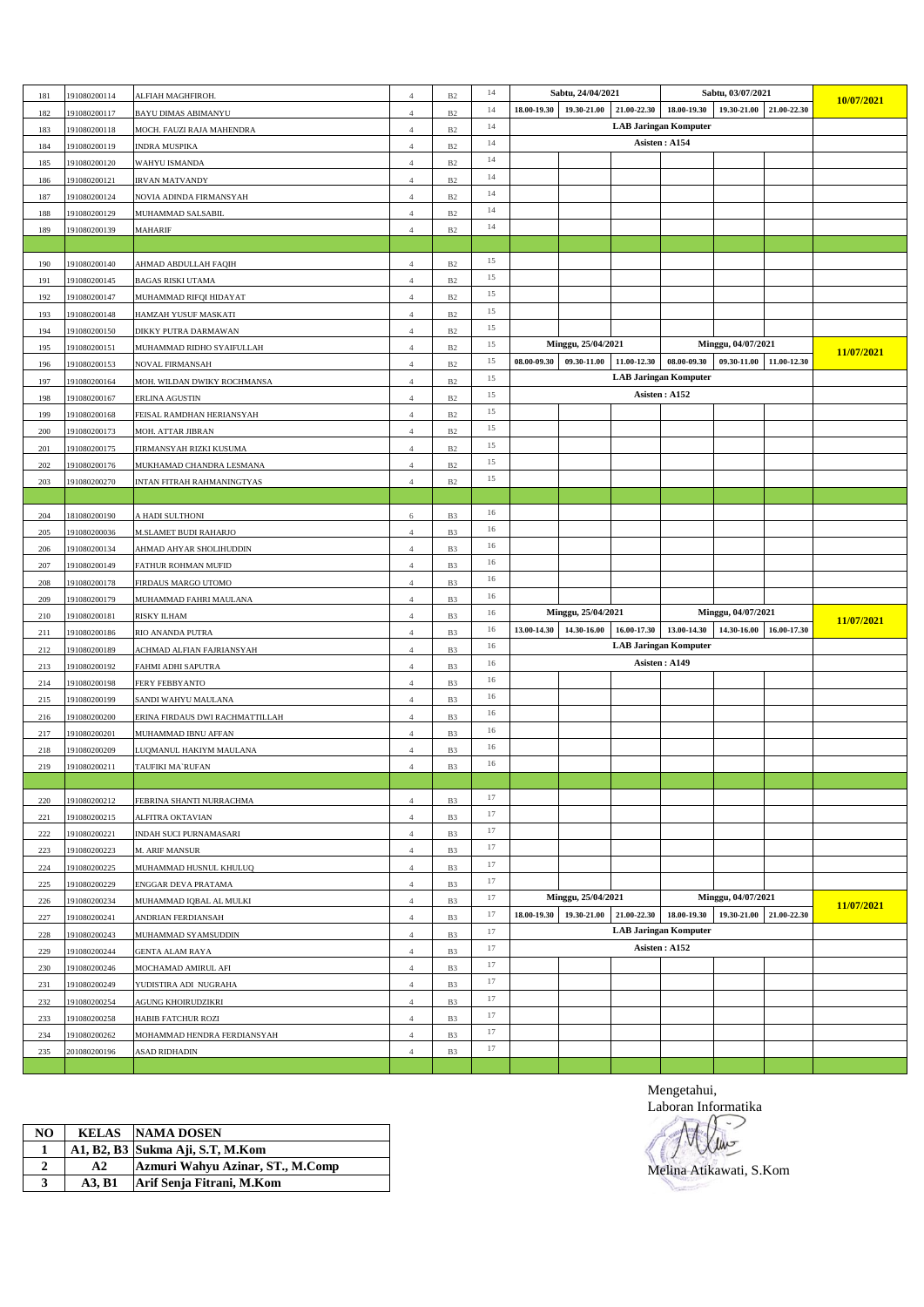| 181 | 191080200114 | ALFIAH MAGHFIROH.               | 4              | B2             | 14 |             | Sabtu, 24/04/2021       |             |                              | Sabtu, 03/07/2021  |             |            |
|-----|--------------|---------------------------------|----------------|----------------|----|-------------|-------------------------|-------------|------------------------------|--------------------|-------------|------------|
| 182 | 191080200117 | BAYU DIMAS ABIMANYU             | $\overline{4}$ | $_{\rm B2}$    | 14 |             | 18.00-19.30 19.30-21.00 |             | 21.00-22.30 18.00-19.30      | 19.30-21.00        | 21.00-22.30 | 10/07/2021 |
| 183 | 191080200118 | MOCH. FAUZI RAJA MAHENDRA       | $\overline{4}$ | $_{\rm B2}$    | 14 |             |                         |             | <b>LAB Jaringan Komputer</b> |                    |             |            |
| 184 | 191080200119 | INDRA MUSPIKA                   | $\overline{4}$ | $_{\rm B2}$    | 14 |             |                         |             | Asisten: A154                |                    |             |            |
| 185 | 191080200120 | WAHYU ISMANDA                   | $\overline{4}$ | B <sub>2</sub> | 14 |             |                         |             |                              |                    |             |            |
| 186 | 191080200121 | <b>IRVAN MATVANDY</b>           | $\overline{4}$ | B2             | 14 |             |                         |             |                              |                    |             |            |
| 187 | 191080200124 | NOVIA ADINDA FIRMANSYAH         | $\overline{4}$ | $_{\rm B2}$    | 14 |             |                         |             |                              |                    |             |            |
| 188 | 191080200129 | MUHAMMAD SALSABIL               | $\overline{4}$ | B <sub>2</sub> | 14 |             |                         |             |                              |                    |             |            |
| 189 | 191080200139 | MAHARIF                         | $\overline{4}$ | B <sub>2</sub> | 14 |             |                         |             |                              |                    |             |            |
|     |              |                                 |                |                |    |             |                         |             |                              |                    |             |            |
| 190 | 191080200140 | AHMAD ABDULLAH FAQIH            | $\overline{4}$ | B2             | 15 |             |                         |             |                              |                    |             |            |
| 191 | 191080200145 | <b>BAGAS RISKI UTAMA</b>        | $\overline{4}$ | $_{\rm B2}$    | 15 |             |                         |             |                              |                    |             |            |
| 192 | 191080200147 | MUHAMMAD RIFQI HIDAYAT          | $\overline{4}$ | B <sub>2</sub> | 15 |             |                         |             |                              |                    |             |            |
| 193 | 191080200148 | HAMZAH YUSUF MASKATI            | $\overline{4}$ | B <sub>2</sub> | 15 |             |                         |             |                              |                    |             |            |
| 194 | 191080200150 | DIKKY PUTRA DARMAWAN            | $\overline{4}$ | B <sub>2</sub> | 15 |             |                         |             |                              |                    |             |            |
| 195 | 191080200151 | MUHAMMAD RIDHO SYAIFULLAH       | $\overline{4}$ | B2             | 15 |             | Minggu, 25/04/2021      |             |                              | Minggu, 04/07/2021 |             |            |
| 196 | 191080200153 | NOVAL FIRMANSAH                 | $\overline{4}$ | $_{\rm B2}$    | 15 | 08.00-09.30 | 09.30-11.00             | 11.00-12.30 | 08.00-09.30                  | 09.30-11.00        | 11.00-12.30 | 11/07/2021 |
| 197 | 191080200164 | MOH. WILDAN DWIKY ROCHMANSA     | $\overline{4}$ | B <sub>2</sub> | 15 |             |                         |             | <b>LAB Jaringan Komputer</b> |                    |             |            |
| 198 | 191080200167 | ERLINA AGUSTIN                  | $\overline{4}$ | $_{\rm B2}$    | 15 |             |                         |             | Asisten: A152                |                    |             |            |
| 199 | 191080200168 | FEISAL RAMDHAN HERIANSYAH       | $\overline{4}$ | B <sub>2</sub> | 15 |             |                         |             |                              |                    |             |            |
| 200 | 191080200173 | MOH. ATTAR JIBRAN               | $\overline{4}$ | B2             | 15 |             |                         |             |                              |                    |             |            |
| 201 | 191080200175 | FIRMANSYAH RIZKI KUSUMA         | $\overline{4}$ | $_{\rm B2}$    | 15 |             |                         |             |                              |                    |             |            |
| 202 | 191080200176 | MUKHAMAD CHANDRA LESMANA        | $\overline{4}$ | $_{\rm B2}$    | 15 |             |                         |             |                              |                    |             |            |
| 203 | 191080200270 | INTAN FITRAH RAHMANINGTYAS      | $\overline{4}$ | B2             | 15 |             |                         |             |                              |                    |             |            |
|     |              |                                 |                |                |    |             |                         |             |                              |                    |             |            |
| 204 | 181080200190 | A HADI SULTHONI                 | 6              | B <sub>3</sub> | 16 |             |                         |             |                              |                    |             |            |
| 205 | 191080200036 | <b>M.SLAMET BUDI RAHARJO</b>    | $\overline{4}$ | B3             | 16 |             |                         |             |                              |                    |             |            |
| 206 | 191080200134 | AHMAD AHYAR SHOLIHUDDIN         | $\overline{4}$ | B <sub>3</sub> | 16 |             |                         |             |                              |                    |             |            |
| 207 | 191080200149 | FATHUR ROHMAN MUFID             | $\overline{4}$ | B <sub>3</sub> | 16 |             |                         |             |                              |                    |             |            |
| 208 | 191080200178 | FIRDAUS MARGO UTOMO             | $\overline{4}$ | B3             | 16 |             |                         |             |                              |                    |             |            |
| 209 | 191080200179 | MUHAMMAD FAHRI MAULANA          | $\overline{4}$ | B <sub>3</sub> | 16 |             |                         |             |                              |                    |             |            |
| 210 | 191080200181 | RISKY ILHAM                     | $\overline{4}$ | B3             | 16 |             | Minggu, 25/04/2021      |             |                              | Minggu, 04/07/2021 |             |            |
| 211 | 191080200186 | RIO ANANDA PUTRA                | $\overline{4}$ | B <sub>3</sub> | 16 | 13.00-14.30 | 14.30-16.00             | 16.00-17.30 | 13.00-14.30                  | 14.30-16.00        | 16.00-17.30 | 11/07/2021 |
| 212 | 191080200189 | ACHMAD ALFIAN FAJRIANSYAH       | $\overline{4}$ | B <sub>3</sub> | 16 |             |                         |             | <b>LAB Jaringan Komputer</b> |                    |             |            |
| 213 | 191080200192 | FAHMI ADHI SAPUTRA              | $\overline{4}$ | B3             | 16 |             |                         |             | Asisten: A149                |                    |             |            |
| 214 | 191080200198 | FERY FEBBYANTO                  | $\overline{4}$ | B <sub>3</sub> | 16 |             |                         |             |                              |                    |             |            |
| 215 | 191080200199 | SANDI WAHYU MAULANA             | $\overline{4}$ | B <sub>3</sub> | 16 |             |                         |             |                              |                    |             |            |
| 216 | 191080200200 | ERINA FIRDAUS DWI RACHMATTILLAH | $\overline{4}$ | B3             | 16 |             |                         |             |                              |                    |             |            |
| 217 | 191080200201 | MUHAMMAD IBNU AFFAN             | $\overline{4}$ | B <sub>3</sub> | 16 |             |                         |             |                              |                    |             |            |
| 218 | 191080200209 | LUQMANUL HAKIYM MAULANA         | $\overline{4}$ | B <sub>3</sub> | 16 |             |                         |             |                              |                    |             |            |
| 219 | 191080200211 | TAUFIKI MA`RUFAN                | $\overline{4}$ | B <sub>3</sub> | 16 |             |                         |             |                              |                    |             |            |
|     |              |                                 |                |                |    |             |                         |             |                              |                    |             |            |
| 220 | 191080200212 | FEBRINA SHANTI NURRACHMA        | $\overline{4}$ | B <sub>3</sub> | 17 |             |                         |             |                              |                    |             |            |
| 221 | 191080200215 | ALFITRA OKTAVIAN                | $\overline{4}$ | B <sub>3</sub> | 17 |             |                         |             |                              |                    |             |            |
| 222 | 191080200221 | INDAH SUCI PURNAMASARI          | $\overline{4}$ | B <sub>3</sub> | 17 |             |                         |             |                              |                    |             |            |
| 223 | 191080200223 | M. ARIF MANSUR                  | $\overline{4}$ | B <sub>3</sub> | 17 |             |                         |             |                              |                    |             |            |
| 224 | 191080200225 | MUHAMMAD HUSNUL KHULUQ          | $\overline{4}$ | B <sub>3</sub> | 17 |             |                         |             |                              |                    |             |            |
| 225 | 191080200229 | ENGGAR DEVA PRATAMA             | $\overline{4}$ | B3             | 17 |             |                         |             |                              |                    |             |            |
| 226 | 191080200234 | MUHAMMAD IQBAL AL MULKI         | $\overline{4}$ | B <sub>3</sub> | 17 |             | Minggu, 25/04/2021      |             |                              | Minggu, 04/07/2021 |             |            |
| 227 | 191080200241 | ANDRIAN FERDIANSAH              | $\overline{4}$ | B <sub>3</sub> | 17 | 18.00-19.30 | 19.30-21.00             | 21.00-22.30 | 18.00-19.30                  | 19.30-21.00        | 21.00-22.30 | 11/07/2021 |
| 228 | 191080200243 | MUHAMMAD SYAMSUDDIN             | $\overline{4}$ | B <sub>3</sub> | 17 |             |                         |             | <b>LAB Jaringan Komputer</b> |                    |             |            |
| 229 | 191080200244 | <b>GENTA ALAM RAYA</b>          | $\overline{4}$ | B <sub>3</sub> | 17 |             |                         |             | Asisten: A152                |                    |             |            |
| 230 | 191080200246 | MOCHAMAD AMIRUL AFI             | $\overline{4}$ | B3             | 17 |             |                         |             |                              |                    |             |            |
| 231 | 191080200249 | YUDISTIRA ADI NUGRAHA           | $\overline{4}$ | B <sub>3</sub> | 17 |             |                         |             |                              |                    |             |            |
| 232 | 191080200254 | AGUNG KHOIRUDZIKRI              | $\overline{4}$ | B <sub>3</sub> | 17 |             |                         |             |                              |                    |             |            |
| 233 | 191080200258 | HABIB FATCHUR ROZI              | $\overline{4}$ | B <sub>3</sub> | 17 |             |                         |             |                              |                    |             |            |
| 234 | 191080200262 | MOHAMMAD HENDRA FERDIANSYAH     | $\overline{4}$ | B3             | 17 |             |                         |             |                              |                    |             |            |
| 235 | 201080200196 |                                 | $\overline{4}$ | B <sub>3</sub> | 17 |             |                         |             |                              |                    |             |            |
|     |              | ASAD RIDHADIN                   |                |                |    |             |                         |             |                              |                    |             |            |

| NO | <b>KELAS</b> | <b>NAMA DOSEN</b>                |
|----|--------------|----------------------------------|
|    |              | A1, B2, B3 Sukma Aji, S.T, M.Kom |
| 2  | A2           | Azmuri Wahyu Azinar, ST., M.Comp |
| 3  | A3. B1       | Arif Senja Fitrani, M.Kom        |

Mengetahui, Laboran Informatika

Melina Atikawati, S.KomJ